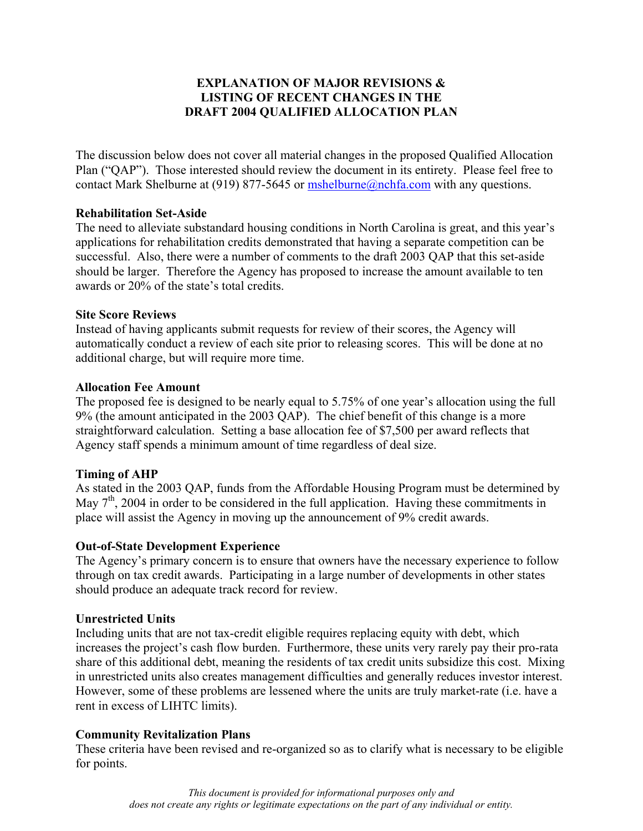# **EXPLANATION OF MAJOR REVISIONS & LISTING OF RECENT CHANGES IN THE DRAFT 2004 QUALIFIED ALLOCATION PLAN**

The discussion below does not cover all material changes in the proposed Qualified Allocation Plan ("QAP"). Those interested should review the document in its entirety. Please feel free to contact Mark Shelburne at (919) 877-5645 or [mshelburne@nchfa.com](mailto:mshelburne@nchfa.com) with any questions.

#### **Rehabilitation Set-Aside**

The need to alleviate substandard housing conditions in North Carolina is great, and this year's applications for rehabilitation credits demonstrated that having a separate competition can be successful. Also, there were a number of comments to the draft 2003 QAP that this set-aside should be larger. Therefore the Agency has proposed to increase the amount available to ten awards or 20% of the state's total credits.

#### **Site Score Reviews**

Instead of having applicants submit requests for review of their scores, the Agency will automatically conduct a review of each site prior to releasing scores. This will be done at no additional charge, but will require more time.

## **Allocation Fee Amount**

The proposed fee is designed to be nearly equal to 5.75% of one year's allocation using the full 9% (the amount anticipated in the 2003 QAP). The chief benefit of this change is a more straightforward calculation. Setting a base allocation fee of \$7,500 per award reflects that Agency staff spends a minimum amount of time regardless of deal size.

# **Timing of AHP**

As stated in the 2003 QAP, funds from the Affordable Housing Program must be determined by May  $7<sup>th</sup>$ , 2004 in order to be considered in the full application. Having these commitments in place will assist the Agency in moving up the announcement of 9% credit awards.

#### **Out-of-State Development Experience**

The Agency's primary concern is to ensure that owners have the necessary experience to follow through on tax credit awards. Participating in a large number of developments in other states should produce an adequate track record for review.

#### **Unrestricted Units**

Including units that are not tax-credit eligible requires replacing equity with debt, which increases the project's cash flow burden. Furthermore, these units very rarely pay their pro-rata share of this additional debt, meaning the residents of tax credit units subsidize this cost. Mixing in unrestricted units also creates management difficulties and generally reduces investor interest. However, some of these problems are lessened where the units are truly market-rate (i.e. have a rent in excess of LIHTC limits).

#### **Community Revitalization Plans**

These criteria have been revised and re-organized so as to clarify what is necessary to be eligible for points.